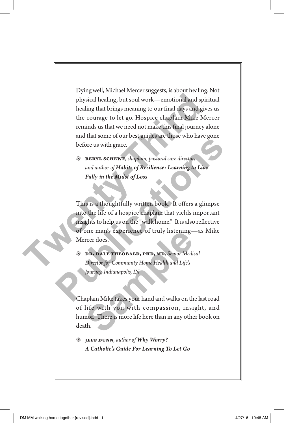Dying well, Michael Mercer suggests, is about healing. Not physical healing, but soul work—emotional and spiritual healing that brings meaning to our final days and gives us the courage to let go. Hospice chaplain Mike Mercer reminds us that we need not make this final journey alone and that some of our best guides are those who have gone before us with grace. **This is a thoughtfully of Markon and Spirithmann and Spirite and Spirite and Spirite courage to let go. Hospice chaplain Mike Mereminds us that we need not make this final journey al<br>
and that some of our best guides are** 

• **beryl schewe***, chaplain, pastoral care director, and author of Habits of Resilience: Learning to Live Fully in the Midst of Loss* 

This is a thoughtfully written book. It offers a glimpse into the life of a hospice chaplain that yields important insights to help us on the "walk home." It is also reflective of one man's experience of truly listening—as Mike Mercer does. **PUBLICATE SET AND ACTE AND ACT AND SET AND SET AND SERVED SERVED SERVED SERVED AND ACT AND ACT AND SERVED SERVED BY A SURFACT AND SERVED BY A SURFACT AND SERVED BY A DURING THIS IS A thoughtfully written book. It offers a** 

• **dr. dale theobald, phd, md***, Senior Medical Director for Community Home Health and Life's Journey, Indianapolis, IN*

Chaplain Mike takes your hand and walks on the last road of life with you with compassion, insight, and humor. There is more life here than in any other book on death. Fractional State of truly listening-<br>
Fractional State of truly listening-<br>
Fraction Community Home Health and Life's<br>
Journey, Indianapolis, IN<br>
aplain Mike takes your hand and walks on th<br>
life with you with compassion,

• **jeff dunn***, author of Why Worry? A Catholic's Guide For Learning To Let Go*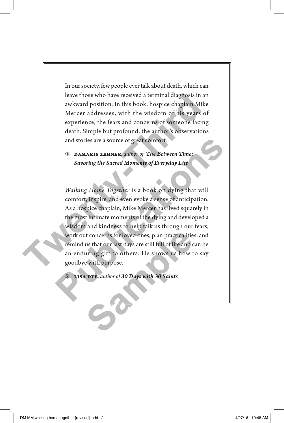In our society, few people ever talk about death, which can leave those who have received a terminal diagnosis in an awkward position. In this book, hospice chaplain Mike Mercer addresses, with the wisdom of his years of experience, the fears and concerns of someone facing death. Simple but profound, the author's observations and stories are a source of great comfort.

• **damaris zehner***, author of The Between Time: Savoring the Sacred Moments of Everyday Life*

*Walking Home Together* is a book on dying that will comfort, inspire, and even evoke a sense of anticipation. As a hospice chaplain, Mike Mercer has lived squarely in the most intimate moments of the dying and developed a wisdom and kindness to help talk us through our fears, work out concerns for loved ones, plan practicalities, and remind us that our last days are still full of life and can be an enduring gift to others. He shows us how to say goodbye with purpose. **The Matter of the School School School School School School School School School School School School School School School School School School School School School School School School School School School School School** and stories are a source of great comfort.<br> **PROMARIS ZEHNER**, author of The Between Time:<br>
Savoring the Sacred Moments of Everyday Life<br>
Walking Home Together is a book on dying that will<br>
comfort, inspire, and even evoke It concerns for loved ones, plan practicalitie<br>us that our last days are still full of life and c<br>uring gift to others. He shows us how t<br>e with purpose.<br>DYE, author of 30 Days with 30 Saints

• **lisa dye***, author of 30 Days with 30 Saints*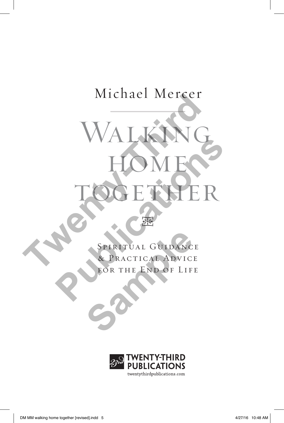## Michael Mercer

Walking

HOME

TOGETHER

**ZE** 

SPIRITUAL GUIDANCE & Practical Advice FOR THE END OF LIFE WALKING **PUBLICATER** SPIRITUAL GUIDANC<br>& PRACTICAL ADVICE

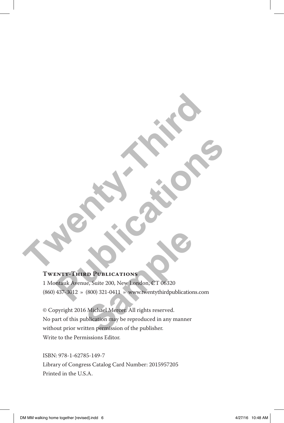# **Twenty-Third Publications Twenty-Third Islands**

1 Montauk Avenue, Suite 200, New London, CT 06320 (860) 437-3012 » (800) 321-0411 » www.twentythirdpublications.com **Publications (200)**<br> **Publications (200)**<br> **Publications (200)**<br> **Publications (200)**<br> **Publications (200)**<br> **Publications (200)**<br> **Publications (200)**<br> **Publications (200)**<br> **Publications (200)**<br> **Publications (200)**<br> **P** 

© Copyright 2016 Michael Mercer. All rights reserved. No part of this publication may be reproduced in any manner without prior written permission of the publisher. Write to the Permissions Editor. **Sample Product School Server School School Server School School School School School School School School School School School School School School School School School School School School School School School School Sch** 

ISBN: 978-1-62785-149-7 Library of Congress Catalog Card Number: 2015957205 Printed in the U.S.A.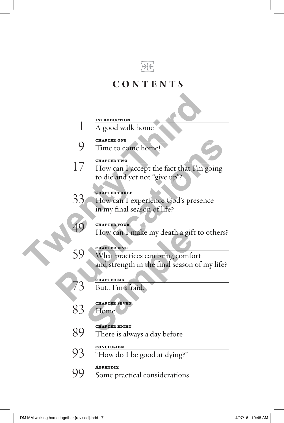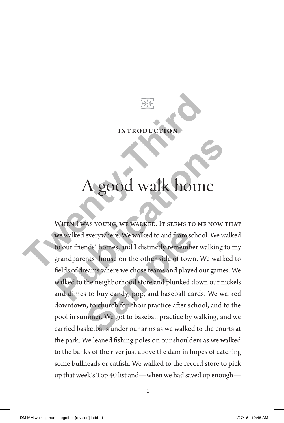#### **INTRODUCTION**

# walk home

When I was young, we walked. It seems to me now that we walked everywhere. We walked to and from school. We walked to our friends' homes, and I distinctly remember walking to my grandparents' house on the other side of town. We walked to fields of dreams where we chose teams and played our games. We walked to the neighborhood store and plunked down our nickels and dimes to buy candy, pop, and baseball cards. We walked downtown, to church for choir practice after school, and to the pool in summer. We got to baseball practice by walking, and we carried basketballs under our arms as we walked to the courts at the park. We leaned fishing poles on our shoulders as we walked to the banks of the river just above the dam in hopes of catching some bullheads or catfish. We walked to the record store to pick up that week's Top 40 list and—when we had saved up enough— INTRODUCTION<br>
INTRODUCTION<br>
INTRODUCTION<br>
WHEN I WAS YOUNG, WE WALKED. IT SEEMS TO ME<br>
WHEN I WAS YOUNG, WE WALKED. IT SEEMS TO ME<br>
WE walked everywhere. We walked to and from school.<br>
to our friends' homes, and I distinct **Publication Set of Manuscritz Control of Manuscript Control of Manuscript Control of Manuscript Control of Manuscript<br>
Publication of Manuscript Control of Manuscript<br>
Publications and The Set of Alliance of The Manuscrip** everywhere. We walked to and from sc<br>nds' homes, and I distinctly remembe<br>ents' house on the other side of towr<br>reams where we chose teams and playe<br>the neighborhood store and plunked d<br>s to buy candy, pop, and baseball ca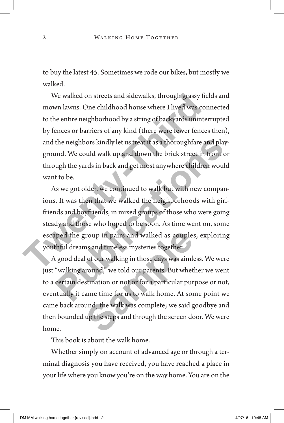to buy the latest 45. Sometimes we rode our bikes, but mostly we walked.

We walked on streets and sidewalks, through grassy fields and mown lawns. One childhood house where I lived was connected to the entire neighborhood by a string of backyards uninterrupted by fences or barriers of any kind (there were fewer fences then), and the neighbors kindly let us treat it as a thoroughfare and playground. We could walk up and down the brick street in front or through the yards in back and get most anywhere children would want to be. We walked on streets and sidewalks, through grassy fiel<br>mown lawns. One childhood house where I lived was con<br>to the entire neighborhood by a string of backyards uninter<br>by fences or barriers of any kind (there were fewer

As we got older, we continued to walk but with new companions. It was then that we walked the neighborhoods with girlfriends and boyfriends, in mixed groups of those who were going steady and those who hoped to be soon. As time went on, some escaped the group in pairs and walked as couples, exploring youthful dreams and timeless mysteries together. the neighbors kindly let us treat it as a thoroughfare and play-<br>und. We could walk up and down the brick street in front or<br>ugh the yards in back and get most anywhere children would<br>t to be.<br>s we got older, we continued

A good deal of our walking in those days was aimless. We were just "walking around," we told our parents. But whether we went to a certain destination or not or for a particular purpose or not, eventually it came time for us to walk home. At some point we came back around; the walk was complete; we said goodbye and then bounded up the steps and through the screen door. We were home. proup in pairs and walked as couples<br>ins and timeless mysteries together.<br>I of our walking in those days was aimle<br>pround," we told our parents. But whet<br>stination or not or for a particular pur<br>ame time for us to walk hom

This book is about the walk home.

Whether simply on account of advanced age or through a terminal diagnosis you have received, you have reached a place in your life where you know you're on the way home. You are on the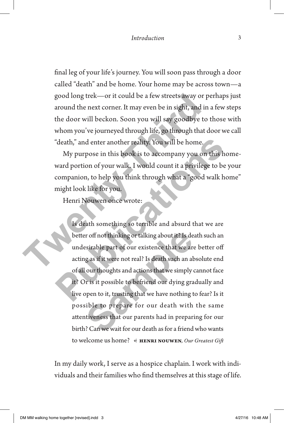final leg of your life's journey. You will soon pass through a door called "death" and be home. Your home may be across town—a good long trek—or it could be a few streets away or perhaps just around the next corner. It may even be in sight, and in a few steps the door will beckon. Soon you will say goodbye to those with whom you've journeyed through life, go through that door we call "death," and enter another reality. You will be home. good long trek—or it could be a few streets away or portound the next corner. It may even be in sight, and in<br>the door will beckon. Soon you will say goodbye to<br>whom you've journeyed through life, go through that d<br>"death,

My purpose in this book is to accompany you on this homeward portion of your walk. I would count it a privilege to be your companion, to help you think through what a "good walk home" might look like for you.

Henri Nouwen once wrote:

Is death something so terrible and absurd that we are better off not thinking or talking about it? Is death such an undesirable part of our existence that we are better off acting as if it were not real? Is death such an absolute end of all our thoughts and actions that we simply cannot face it? Or is it possible to befriend our dying gradually and live open to it, trusting that we have nothing to fear? Is it possible to prepare for our death with the same attentiveness that our parents had in preparing for our birth? Can we wait for our death as for a friend who wants to welcome us home? \* **henri nouwen***, Our Greatest Gi* Fraction of the state of the state of the state of the state of the state of the state of the state of the state of the state of the state of the state of the state of the state of the state of the state of the state of th example part of our existence that we are<br>esirable part of our existence that we are<br>g as if it were not real? Is death such an all<br>our thoughts and actions that we simply of<br>it is it possible to befriend our dying gra<br>ope

In my daily work, I serve as a hospice chaplain. I work with individuals and their families who find themselves at this stage of life.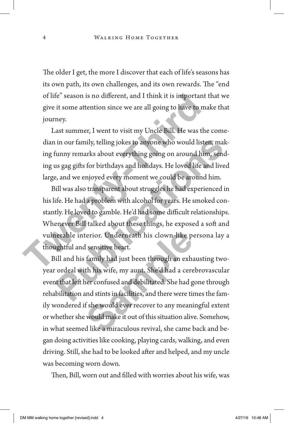The older I get, the more I discover that each of life's seasons has its own path, its own challenges, and its own rewards. The "end of life" season is no different, and I think it is important that we give it some attention since we are all going to have to make that journey.

Last summer, I went to visit my Uncle Bill. He was the comedian in our family, telling jokes to anyone who would listen, making funny remarks about everything going on around him, sending us gag gifts for birthdays and holidays. He loved life and lived large, and we enjoyed every moment we could be around him.

Bill was also transparent about struggles he had experienced in his life. He had a problem with alcohol for years. He smoked constantly. He loved to gamble. He'd had some difficult relationships. Whenever Bill talked about these things, he exposed a soft and vulnerable interior. Underneath his clown-like persona lay a thoughtful and sensitive heart. of life" season is no different, and I think it is important t<br>give it some attention since we are all going to have to mal<br>journey.<br>Last summer, I went to visit my Uncle Bill. He was the<br>dian in our family, telling jokes i in our family, telling jokes to anyone who would listen, mak-<br>funny remarks about everything going on around him, send-<br>us gag gifts for birthdays and holidays. He loved life and lived<br>e, and we enjoyed every moment we c

Bill and his family had just been through an exhausting twoyear ordeal with his wife, my aunt. She'd had a cerebrovascular event that left her confused and debilitated. She had gone through rehabilitation and stints in facilities, and there were times the family wondered if she would ever recover to any meaningful extent or whether she would make it out of this situation alive. Somehow, in what seemed like a miraculous revival, she came back and began doing activities like cooking, playing cards, walking, and even driving. Still, she had to be looked after and helped, and my uncle was becoming worn down. terior. Underneath his clown-like polynomials of sensitive heart.<br>
family had just been through an exhaptive heart.<br>
th his wife, my aunt. She'd had a cere<br>
ner confused and debilitated. She had g<br>
and stints in facilities

Then, Bill, worn out and filled with worries about his wife, was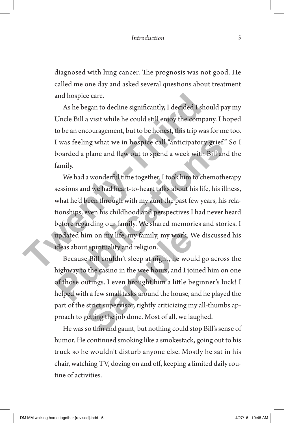diagnosed with lung cancer. The prognosis was not good. He called me one day and asked several questions about treatment and hospice care.

As he began to decline significantly, I decided I should pay my Uncle Bill a visit while he could still enjoy the company. I hoped to be an encouragement, but to be honest, this trip was for me too. I was feeling what we in hospice call "anticipatory grief." So I boarded a plane and flew out to spend a week with Bill and the family.

We had a wonderful time together. I took him to chemotherapy sessions and we had heart-to-heart talks about his life, his illness, what he'd been through with my aunt the past few years, his relationships, even his childhood and perspectives I had never heard before regarding our family. We shared memories and stories. I updated him on my life, my family, my work. We discussed his ideas about spirituality and religion. and hospice care.<br>
As he began to decline significantly, I decided I show<br>
Uncle Bill a visit while he could still enjoy the compar<br>
to be an encouragement, but to be honest, this trip was<br>
I was feeling what we in hospice I was feeling what we in hospice call "anticipatory grief." S<br>boarded a plane and flew out to spend a week with Bill and t<br>family.<br>We had a wonderful time together. I took him to chemothera<br>sessions and we had heart-to-hea

Because Bill couldn't sleep at night, he would go across the highway to the casino in the wee hours, and I joined him on one of those outings. I even brought him a little beginner's luck! I helped with a few small tasks around the house, and he played the part of the strict supervisor, rightly criticizing my all-thumbs approach to getting the job done. Most of all, we laughed. im on my life, my family, my work. We<br>it spirituality and religion.<br>e Bill couldn't sleep at night, he wou<br>o the casino in the wee hours, and I joi<br>utings. I even brought him a little be<br>h a few small tasks around the hous

He was so thin and gaunt, but nothing could stop Bill's sense of humor. He continued smoking like a smokestack, going out to his truck so he wouldn't disturb anyone else. Mostly he sat in his chair, watching TV, dozing on and off, keeping a limited daily routine of activities.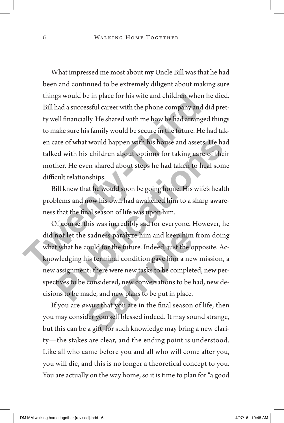What impressed me most about my Uncle Bill was that he had been and continued to be extremely diligent about making sure things would be in place for his wife and children when he died. Bill had a successful career with the phone company and did pretty well financially. He shared with me how he had arranged things to make sure his family would be secure in the future. He had taken care of what would happen with his house and assets. He had talked with his children about options for taking care of their mother. He even shared about steps he had taken to heal some difficult relationships. things would be in place for his wife and children when h<br>Bill had a successful career with the phone company and di<br>ty well financially. He shared with me how he had arranged<br>to make sure his family would be secure in the

Bill knew that he would soon be going home. His wife's health problems and now his own had awakened him to a sharp awareness that the final season of life was upon him.

Of course, this was incredibly sad for everyone. However, he did not let the sadness paralyze him and keep him from doing what what he could for the future. Indeed, just the opposite. Acknowledging his terminal condition gave him a new mission, a new assignment: there were new tasks to be completed, new perspectives to be considered, new conversations to be had, new decisions to be made, and new plans to be put in place. are of what would happen with his house and assets. He had<br>ed with his children about options for taking care of their<br>her. He even shared about steps he had taken to heal some<br>cult relationships.<br>Sill knew that he would s Examples paralyze him and keep him<br>could for the future. Indeed, just the o<br>his terminal condition gave him a new<br>nt: there were new tasks to be complet<br>considered, new conversations to be l<br>nade, and new plans to be put i

If you are *aware* that you are in the final season of life, then you may consider yourself blessed indeed. It may sound strange, but this can be a gift, for such knowledge may bring a new clarity—the stakes are clear, and the ending point is understood. Like all who came before you and all who will come after you, you will die, and this is no longer a theoretical concept to you. You are actually on the way home, so it is time to plan for "a good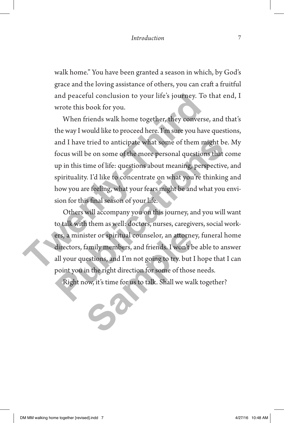walk home." You have been granted a season in which, by God's grace and the loving assistance of others, you can craft a fruitful and peaceful conclusion to your life's journey. To that end, I wrote this book for you.

When friends walk home together, they converse, and that's the way I would like to proceed here. I'm sure you have questions, and I have tried to anticipate what some of them might be. My focus will be on some of the more personal questions that come up in this time of life: questions about meaning, perspective, and spirituality. I'd like to concentrate on what you're thinking and how you are feeling, what your fears might be and what you envision for this final season of your life. and peaceful conclusion to your life's journey. To twrote this book for you.<br>
When friends walk home together, they converse,<br>
the way I would like to proceed here. I'm sure you have<br>
and I have tried to anticipate what so and I have tried to anticipate what some of them might be. I<br>focus will be on some of the more personal questions that co<br>up in this time of life: questions about meaning, perspective, a<br>spirituality. I'd like to concentra

Others will accompany you on this journey, and you will want to talk with them as well: doctors, nurses, caregivers, social workers, a minister or spiritual counselor, an attorney, funeral home directors, family members, and friends. I won't be able to answer all your questions, and I'm not going to try. but I hope that I can point you in the right direction for some of those needs. ister or spiritual counselor, an attorne<br>family members, and friends. I won't b<br>testions, and I'm not going to try. but l<br>in the right direction for some of those<br>ow, it's time for us to talk. Shall we wal

Right now, it's time for us to talk. Shall we walk together?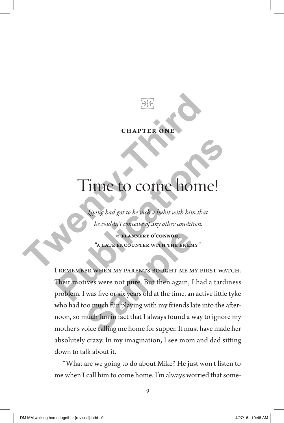#### **CHAPTER ONE**

### Time to come

*Living had got to be such a habit with him that he couldn't conceive of any other condition.* **CHAPTER ONE**<br>
CHAPTER ONE<br>
CHAPTER ONE<br>
TIME TO COME HOME<br>
Living bad got to be such a babit with him that<br>
be couldn't conceive of any other condition.<br>
<br>
CREMENTS CONNOR,<br>
CALATE ENCOUNTER WITH THE ENEMY"

\* **flannery o'connor**, "a late encounter with the enemy"

I remember when my parents bought me my first watch. Their motives were not pure. But then again, I had a tardiness problem. I was five or six years old at the time, an active little tyke who had too much fun playing with my friends late into the afternoon, so much fun in fact that I always found a way to ignore my mother's voice calling me home for supper. It must have made her absolutely crazy. In my imagination, I see mom and dad sitting down to talk about it. **Publication 1997**<br> **Publication 2008**<br> **PUBLICATE PRODUCE CONCIDENT**<br> **PEANNERY O'CONNOR,**<br> **PEANNERY O'CONNOR,**<br> **PEANNERY O'CONNOR,**<br> **PEANNERY O'CONNOR,**<br> **PEANNERY O'CONNOR,**<br> **PEANNERY O'CONNOR,**<br> **PEANNERY O'CONNOR,** <sup>of</sup> **FLANNERY O'CONNOR,**<br>"A LATE ENCOUNTER WITH THE ENEM<br>ER WHEN MY PARENTS BOUGHT ME M<br>ives were not pure. But then again, I<br>was five or six years old at the time, an<br>poomuch fun playing with my friends la<br>nuch fun in fa

"What are we going to do about Mike? He just won't listen to me when I call him to come home. I'm always worried that some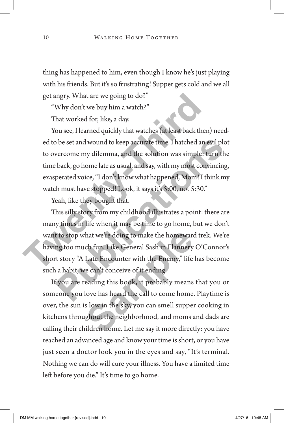thing has happened to him, even though I know he's just playing with his friends. But it's so frustrating! Supper gets cold and we all get angry. What are we going to do?"

"Why don't we buy him a watch?"

That worked for, like, a day.

You see, I learned quickly that watches (at least back then) needed to be set and wound to keep accurate time. I hatched an evil plot to overcome my dilemma, and the solution was simple: turn the time back, go home late as usual, and say, with my most convincing, exasperated voice, "I don't know what happened, Mom! I think my watch must have stopped! Look, it says it's 5:00, not 5:30." get angry. What are we going to do?"<br>
"Why don't we buy him a watch?"<br>
That worked for, like, a day.<br>
You see, I learned quickly that watches (at least back then)<br>
ed to be set and wound to keep accurate time. I hatched an

Yeah, like they bought that.

This silly story from my childhood illustrates a point: there are many times in life when it may be time to go home, but we don't want to stop what we're doing to make the homeward trek. We're having too much fun. Like General Sash in Flannery O'Connor's short story "A Late Encounter with the Enemy," life has become such a habit, we can't conceive of it ending. b be set and wound to keep accurate time. I hatched an evil plot<br>vercome my dilemma, and the solution was simple: turn the<br>back, go home late as usual, and say, with my most convincing,<br>perated voice, "I don't know what ha

If you are reading this book, it probably means that you or someone you love has heard the call to come home. Playtime is over, the sun is low in the sky, you can smell supper cooking in kitchens throughout the neighborhood, and moms and dads are calling their children home. Let me say it more directly: you have reached an advanced age and know your time is short, or you have just seen a doctor look you in the eyes and say, "It's terminal. Nothing we can do will cure your illness. You have a limited time left before you die." It's time to go home. that we're doing to make the homeward<br>ch fun. Like General Sash in Flannery<br>Late Encounter with the Enemy," life<br>re can't conceive of it ending.<br>eading this book, it probably means<br>love has heard the call to come home.<br>s l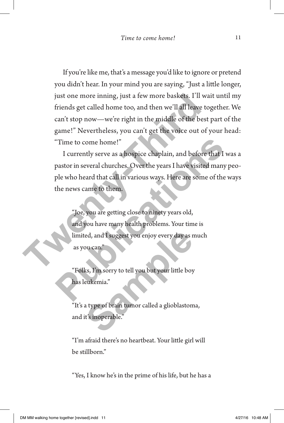If you're like me, that's a message you'd like to ignore or pretend you didn't hear. In your mind you are saying, "Just a little longer, just one more inning, just a few more baskets. I'll wait until my friends get called home too, and then we'll all leave together. We can't stop now—we're right in the middle of the best part of the game!" Nevertheless, you can't get the voice out of your head: "Time to come home!" just one more inning, just a few more baskets. I'll wa<br>friends get called home too, and then we'll all leave to<br>can't stop now—we're right in the middle of the best<br>game!" Nevertheless, you can't get the voice out of y<br>"Ti

I currently serve as a hospice chaplain, and before that I was a pastor in several churches. Over the years I have visited many people who heard that call in various ways. Here are some of the ways the news came to them. Transition of the same of the same of the same of the search of the search of the search of the search of the search of the search of the with the news came to them.<br>The search of the search of the search of the with the n

"Joe, you are getting close to ninety years old, and you have many health problems. Your time is limited, and I suggest you enjoy every day as much as you can." red, and I suggest you enjoy every day as now can."<br>
Sucan."<br> **Sample 1989**<br>
Sample of brain tumor called a glioblastom<br>
Sample of brain tumor called a glioblastom<br>
The sample of brain tumor called a glioblastom<br>
The sampl

"Folks, I'm sorry to tell you but your little boy has leukemia."

"It's a type of brain tumor called a glioblastoma, and it's inoperable."

"I'm afraid there's no heartbeat. Your little girl will be stillborn."

"Yes, I know he's in the prime of his life, but he has a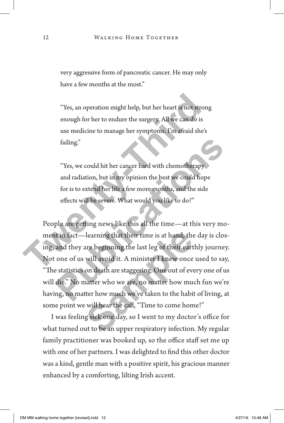very aggressive form of pancreatic cancer. He may only have a few months at the most."

"Yes, an operation might help, but her heart is not strong enough for her to endure the surgery. All we can do is use medicine to manage her symptoms. I'm afraid she's failing."

"Yes, we could hit her cancer hard with chemotherapy and radiation, but in my opinion the best we could hope for is to extend her life a few more months, and the side effects will be severe. What would you like to do?"

People are getting news like this all the time—at this very moment in fact—learning that their time is at hand, the day is closing, and they are beginning the last leg of their earthly journey. Not one of us will avoid it. A minister I knew once used to say, "The statistics on death are staggering. One out of every one of us will die." No matter who we are, no matter how much fun we're having, no matter how much we've taken to the habit of living, at some point we will hear the call, "Time to come home!" "Yes, an operation might help, but her heart is not strong<br>enough for her to endure the surgery. All we can do is<br>use medicine to manage her symptoms. I'm afraid she's<br>failing."<br>"Yes, we could hit her cancer hard with chem failing."<br>"Yes, we could hit her cancer hard with chemotherapy<br>and radiation, but in my opinion the best we could hope<br>for is to extend her life a few more months, and the side<br>effects will be severe. What would you like t -learning that their time is at hand, the<br>are beginning the last leg of their eart<br>will avoid it. A minister I knew once<br>on death are staggering. One out of eve<br>natter who we are, no matter how mue<br>tter how much we've take

I was feeling sick one day, so I went to my doctor's office for what turned out to be an upper respiratory infection. My regular family practitioner was booked up, so the office staff set me up with one of her partners. I was delighted to find this other doctor was a kind, gentle man with a positive spirit, his gracious manner enhanced by a comforting, lilting Irish accent.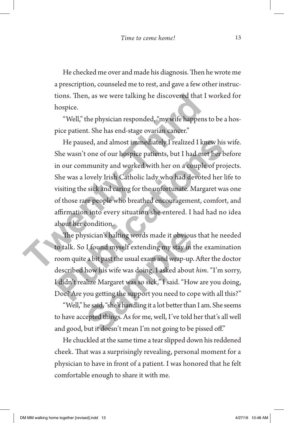He checked me over and made his diagnosis. Then he wrote me a prescription, counseled me to rest, and gave a few other instructions. Then, as we were talking he discovered that I worked for hospice.

"Well," the physician responded, "my wife happens to be a hospice patient. She has end-stage ovarian cancer."

He paused, and almost immediately I realized I knew his wife. She wasn't one of our hospice patients, but I had met her before in our community and worked with her on a couple of projects. She was a lovely Irish Catholic lady who had devoted her life to visiting the sick and caring for the unfortunate. Margaret was one of those rare people who breathed encouragement, comfort, and affirmation into every situation she entered. I had had no idea about her condition. tions. Then, as we were talking he discovered that I v<br>hospice.<br>"Well," the physician responded, "my wife happens t<br>pice patient. She has end-stage ovarian cancer."<br>He paused, and almost immediately I realized I kne<br>She wa He paused, and almost immediately I realized I knew his w<br>She wasn't one of our hospice patients, but I had met her bef<br>ein our community and worked with her on a couple of projec<br>She was a lovely Irish Catholic lady who h

The physician's halting words made it obvious that he needed to talk. So I found myself extending my stay in the examination room quite a bit past the usual exam and wrap-up. After the doctor described how his wife was doing, I asked about *him*. "I'm sorry, I didn't realize Margaret was so sick," I said. "How are you doing, Doc? Are you getting the support you need to cope with all this?" ysician's halting words made it obviou:<br>I found myself extending my stay in t<br>a bit past the usual exam and wrap-up.<br>how his wife was doing, I asked about<br>alize Margaret was so sick," I said. "Ho<br>you getting the support yo

"Well," he said, "she's handling it a lot better than I am. She seems to have accepted things. As for me, well, I've told her that's all well and good, but it doesn't mean I'm not going to be pissed off."

He chuckled at the same time a tear slipped down his reddened cheek. That was a surprisingly revealing, personal moment for a physician to have in front of a patient. I was honored that he felt comfortable enough to share it with me.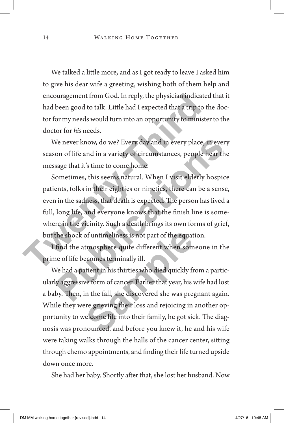We talked a little more, and as I got ready to leave I asked him to give his dear wife a greeting, wishing both of them help and encouragement from God. In reply, the physician indicated that it had been good to talk. Little had I expected that a trip to the doctor for my needs would turn into an opportunity to minister to the doctor for *his* needs.

We never know, do we? Every day and in every place, in every season of life and in a variety of circumstances, people hear the message that it's time to come home.

Sometimes, this seems natural. When I visit elderly hospice patients, folks in their eighties or nineties, there can be a sense, even in the sadness, that death is expected. The person has lived a full, long life, and everyone knows that the finish line is somewhere in the vicinity. Such a death brings its own forms of grief, but the shock of untimeliness is not part of the equation. encouragement from God. In reply, the physician indicated<br>had been good to talk. Little had I expected that a trip to the<br>tor for my needs would turn into an opportunity to minister<br>doctor for *his* needs.<br>We never know, d We never know, do we? Every day and in every place, in every<br>on of life and in a variety of circumstances, people hear the<br>sage that it's time to come home.<br>Cometimes, this seems natural. When I visit elderly hospice<br>ents,

I find the atmosphere quite different when someone in the prime of life becomes terminally ill.

We had a patient in his thirties who died quickly from a particularly aggressive form of cancer. Earlier that year, his wife had lost a baby. Then, in the fall, she discovered she was pregnant again. While they were grieving their loss and rejoicing in another opportunity to welcome life into their family, he got sick. The diagnosis was pronounced, and before you knew it, he and his wife were taking walks through the halls of the cancer center, sitting through chemo appointments, and finding their life turned upside down once more. of untimeliness is not part of the equat<br>tmosphere quite different when som<br>ecomes terminally ill.<br>ttient in his thirties who died quickly fr<br>we form of cancer. Earlier that year, his<br>in the fall, she discovered she was pr

She had her baby. Shortly after that, she lost her husband. Now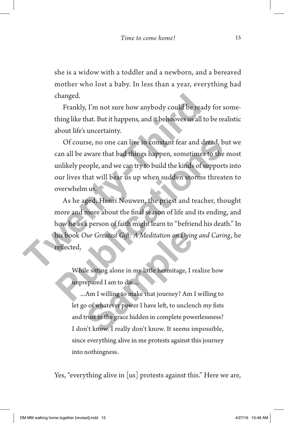she is a widow with a toddler and a newborn, and a bereaved mother who lost a baby. In less than a year, everything had changed.

Frankly, I'm not sure how anybody could be ready for something like that. But it happens, and it behooves us all to be realistic about life's uncertainty.

Of course, no one can live in constant fear and dread, but we can all be aware that bad things happen, sometimes to the most unlikely people, and we can try to build the kinds of supports into our lives that will bear us up when sudden storms threaten to overwhelm us.

As he aged, Henri Nouwen, the priest and teacher, thought more and more about the final season of life and its ending, and how he as a person of faith might learn to "befriend his death." In his book *Our Greatest Gift: A Meditation on Dying and Caring,* he reflected, changed.<br>
Frankly, I'm not sure how anybody could be ready<br>
thing like that. But it happens, and it behooves us all to<br>
about life's uncertainty.<br>
Of course, no one can live in constant fear and dre<br>
can all be aware that Of course, no one can live in constant fear and dread, but<br>can all be aware that bad things happen, sometimes to the meanlikely people, and we can try to build the kinds of supports in<br>our lives that will bear us up when s

While sitting alone in my little hermitage, I realize how unprepared I am to die....

...Am I willing to make that journey? Am I willing to let go of whatever power I have left, to unclench my fists and trust in the grace hidden in complete powerlessness? I don't know. I really don't know. It seems impossible, since everything alive in me protests against this journey into nothingness. Dur Greatest Gift: A Meditation on Dyin<br>
le sitting alone in my little hermitage, I r<br>
repared I am to die....<br>
Am I willing to make that journey? Am<br>
o of whatever power I have left, to unclen<br>
trust in the grace hidden i

Yes, "everything alive in [us] protests against this." Here we are,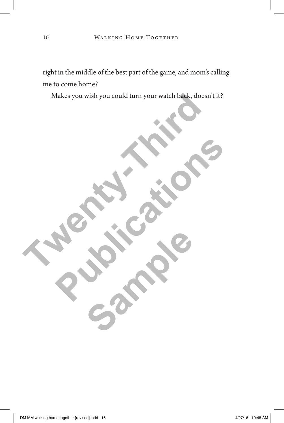right in the middle of the best part of the game, and mom's calling me to come home?

Makes you wish you could turn your watch back, doesn't it? Makes you wish you could turn your watch back, doesn

**Publications** 

Sample